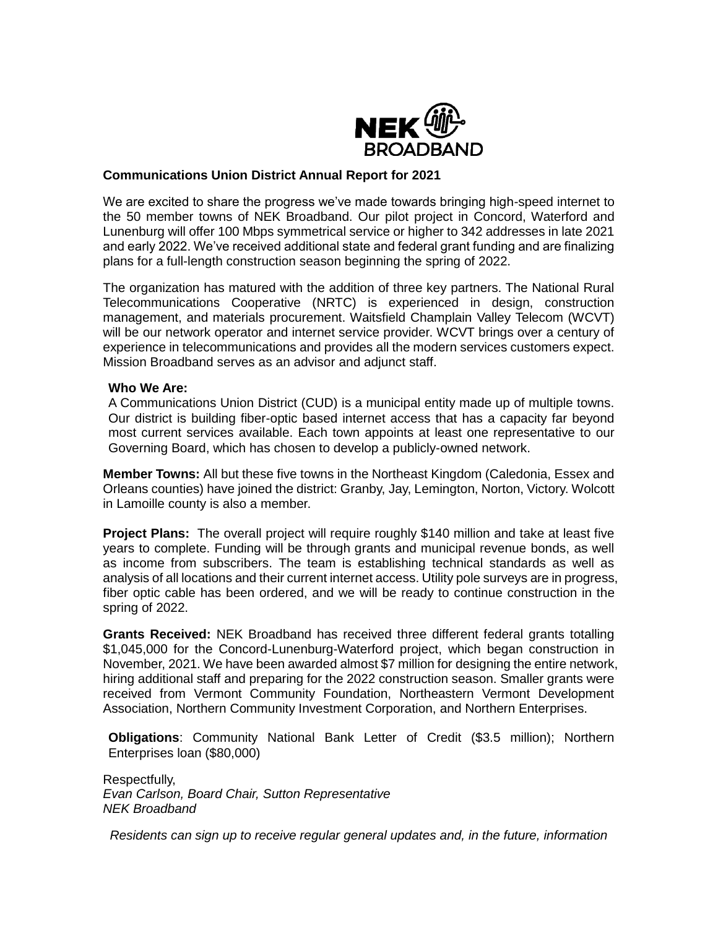

# **Communications Union District Annual Report for 2021**

We are excited to share the progress we've made towards bringing high-speed internet to the 50 member towns of NEK Broadband. Our pilot project in Concord, Waterford and Lunenburg will offer 100 Mbps symmetrical service or higher to 342 addresses in late 2021 and early 2022. We've received additional state and federal grant funding and are finalizing plans for a full-length construction season beginning the spring of 2022.

The organization has matured with the addition of three key partners. The National Rural Telecommunications Cooperative (NRTC) is experienced in design, construction management, and materials procurement. Waitsfield Champlain Valley Telecom (WCVT) will be our network operator and internet service provider. WCVT brings over a century of experience in telecommunications and provides all the modern services customers expect. Mission Broadband serves as an advisor and adjunct staff.

## **Who We Are:**

A Communications Union District (CUD) is a municipal entity made up of multiple towns. Our district is building fiber-optic based internet access that has a capacity far beyond most current services available. Each town appoints at least one representative to our Governing Board, which has chosen to develop a publicly-owned network.

**Member Towns:** All but these five towns in the Northeast Kingdom (Caledonia, Essex and Orleans counties) have joined the district: Granby, Jay, Lemington, Norton, Victory. Wolcott in Lamoille county is also a member.

**Project Plans:** The overall project will require roughly \$140 million and take at least five years to complete. Funding will be through grants and municipal revenue bonds, as well as income from subscribers. The team is establishing technical standards as well as analysis of all locations and their current internet access. Utility pole surveys are in progress, fiber optic cable has been ordered, and we will be ready to continue construction in the spring of 2022.

**Grants Received:** NEK Broadband has received three different federal grants totalling \$1,045,000 for the Concord-Lunenburg-Waterford project, which began construction in November, 2021. We have been awarded almost \$7 million for designing the entire network, hiring additional staff and preparing for the 2022 construction season. Smaller grants were received from Vermont Community Foundation, Northeastern Vermont Development Association, Northern Community Investment Corporation, and Northern Enterprises.

**Obligations**: Community National Bank Letter of Credit (\$3.5 million); Northern Enterprises loan (\$80,000)

Respectfully, *Evan Carlson, Board Chair, Sutton Representative NEK Broadband*

*Residents can sign up to receive regular general updates and, in the future, information*